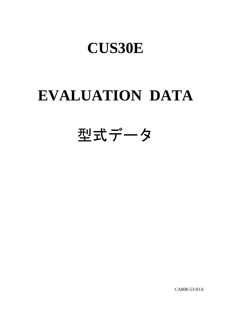# **EVALUATION DATA**

型式データ

CA808-53-01A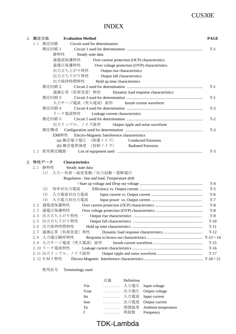## INDEX

| 1.測定方法 | <b>Evaluation Method</b>                                 | <b>PAGE</b> |
|--------|----------------------------------------------------------|-------------|
| 1.1    | 測定回路<br>Circuit used for determination                   |             |
|        | 測定回路1                                                    | $T-1$       |
|        | 静特性<br>Steady state data                                 |             |
|        | 過電流保護特性<br>Over current protection (OCP) characteristics |             |
|        | 過電圧保護特性<br>Over voltage protection (OVP) characteristics |             |
|        | 出力立ち上がり特性<br>Output rise characteristics                 |             |
|        | 出力立ち下がり特性<br>Output fall characteristics                 |             |
|        | 出力保持時間特性<br>Hold up time characteristics                 |             |
|        | 測定回路2                                                    | $T-1$       |
|        | 過渡応答(負荷急変)特性<br>Dynamic load response characteristics    |             |
|        | 測定回路3                                                    | $T-1$       |
|        | 入力サージ電流 (突入電流) 波形<br>Inrush current waveform             |             |
|        | 測定回路 4                                                   | $T-2$       |
|        | リーク電流特性<br>Leakage current characteristics               |             |
|        | 測定回路 5                                                   | $T-2$       |
|        | 出力リップル、ノイズ波形<br>Output ripple and noise waveform         |             |
|        | 測定構成                                                     | $T-2$       |
|        | EMI特性 Electro-Magnetic Interference characteristics      |             |
|        | (a) 雑音端子電圧 (帰還ノイズ)<br><b>Conducted Emission</b>          |             |
|        | (b) 雑音電界強度 (放射ノイズ) Radiated Emission                     |             |
|        | 1.2 使用測定機器                                               | $T-3$       |
|        | 2.特性データ<br><b>Characteristics</b>                        |             |
|        | 2.1 静特性<br>Steady state data                             |             |
|        | (1) 入力·負荷·温度変動/出力起動·遮断電圧                                 |             |
|        | Regulation - line and load, Temperature drift            |             |
|        |                                                          | $T-4$       |
|        | (2)<br>効率対出力電流                                           | $T-5$       |
|        | (3)<br>入力電流対出力電流                                         | $T-6$       |
|        | 入力電力対出力電流<br>(4)                                         | $T-7$       |
| 2.2    | 過電流保護特性                                                  | $T-8$       |
|        | 2.3 過電圧保護特性                                              | $T-8$       |
|        | 2.4 出力立ち上がり特性                                            | $T-9$       |
| 2.5    | 出力立ち下がり特性                                                | $T-10$      |
| 2.6    | 出力保持時間特性                                                 | $T-11$      |
| 2.7    | 過渡応答(負荷急変)特性                                             | $T-12$      |
| 2.8    | 入力電圧瞬停特性                                                 |             |
|        | 2.9 入力サージ電流 (突入電流) 波形                                    | $T-15$      |
|        | 2.10 リーク電流特性                                             | $T-16$      |
|        | 2.11 出力リップル、ノイズ波形                                        | $T-17$      |
|        | 2.12 EMI 特性                                              |             |

使用記号 Terminology used

|      | 定義   | Definition |                          |
|------|------|------------|--------------------------|
| Vin  |      |            | 入力電圧 Input voltage       |
| Vout |      |            | 出力電圧 Output voltage      |
| Iin  |      |            | 入力電流 Input current       |
| Iout | 出力電流 |            | Output current           |
| Ta   |      |            | 周囲温度 Ambient temperature |
| f    | 周波数  |            | Frequency                |
|      |      |            |                          |

## TDK-Lambda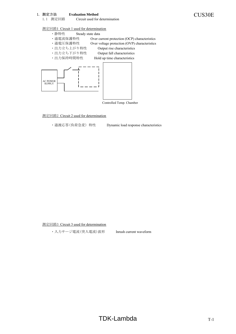1. 測定方法 **Evaluation Method** CUS30E Circuit used for determination

### 測定回路1 Circuit 1 used for determination

- ・静特性 Steady state data
	- ・過電流保護特性 Over current protection (OCP) characteristics
	- ・過電圧保護特性 Over voltage protection (OVP) characteristics
	- ・出力立ち上がり特性 Output rise characteristics
	- ・出力立ち下がり特性 Output fall characteristics
- ・出力保持時間特性 Hold up time characteristics



Controlled Temp. Chamber

### 測定回路2 Circuit 2 used for determination

・過渡応答(負荷急変)特性 Dynamic load response characteristics

測定回路3 Circuit 3 used for determination

・入力サージ電流(突入電流)波形 Inrush current waveform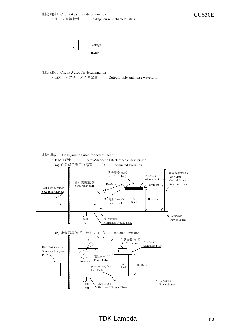<u>測定回路4 Circuit 4 used for determination</u><br>• リーク電流特性 Leakage current characteristics CUS30E Leakage current characteristics



Leakage

meter

測定回路5 Circuit 5 used for determination

・出力リップル、ノイズ波形 Output ripple and noise waveform

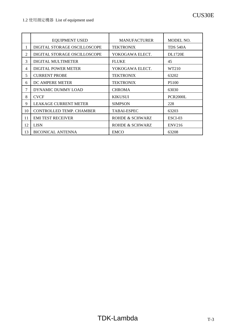|                | <b>EQUIPMENT USED</b>           | <b>MANUFACTURER</b> | MODEL NO.         |
|----------------|---------------------------------|---------------------|-------------------|
| 1              | DIGITAL STORAGE OSCILLOSCOPE    | <b>TEKTRONIX</b>    | <b>TDS 540A</b>   |
| $\mathfrak{2}$ | DIGITAL STORAGE OSCILLOSCOPE    | YOKOGAWA ELECT.     | <b>DL1720E</b>    |
| 3              | DIGITAL MULTIMETER              | <b>FLUKE</b>        | 45                |
| 4              | <b>DIGITAL POWER METER</b>      | YOKOGAWA ELECT.     | WT210             |
| 5              | <b>CURRENT PROBE</b>            | <b>TEKTRONIX</b>    | 63202             |
| 6              | DC AMPERE METER                 | <b>TEKTRONIX</b>    | P <sub>5100</sub> |
| 7              | DYNAMIC DUMMY LOAD              | <b>CHROMA</b>       | 63030             |
| 8              | <b>CVCF</b>                     | <b>KIKUSUI</b>      | <b>PCR2000L</b>   |
| 9              | <b>LEAKAGE CURRENT METER</b>    | <b>SIMPSON</b>      | 228               |
| 10             | <b>CONTROLLED TEMP. CHAMBER</b> | <b>TABAI-ESPEC</b>  | 63203             |
| 11             | <b>EMI TEST RECEIVER</b>        | ROHDE & SCHWARZ     | ESCI-03           |
| 12             | <b>LISN</b>                     | ROHDE & SCHWARZ     | <b>ENV216</b>     |
| 13             | <b>BICONICAL ANTENNA</b>        | <b>EMCO</b>         | 63208             |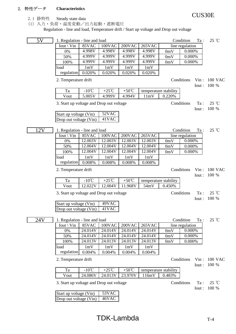### 2. 特性データ **Characteristics**

2.1 静特性 Steady state data

(1) 入力・負荷・温度変動/出力起動・遮断電圧

Regulation - line and load, Temperature drift / Start up voltage and Drop out voltage

| 5V  | 1. Regulation - line and load            |                |                |                    |               |                       | Condition       | $\rm{Ta}$ :           | $25^{\circ}C$                |
|-----|------------------------------------------|----------------|----------------|--------------------|---------------|-----------------------|-----------------|-----------------------|------------------------------|
|     | Iout \ Vin                               | 85VAC          | 100VAC         | 200VAC             | <b>265VAC</b> |                       | line regulation |                       |                              |
|     | 0%                                       | 4.998V         | 4.998V         | 4.998V             | 4.998V        | 0mV                   | 0.000%          |                       |                              |
|     | 50%                                      | 4.999V         | 4.999V         | 4.999V             | 4.999V        | 0mV                   | 0.000%          |                       |                              |
|     | 100%                                     | 4.999V         | 4.999V         | 4.999V             | 4.999V        | 0mV                   | 0.000%          |                       |                              |
|     | load                                     | 1mV            | 1mV            | 1mV                | 1mV           |                       |                 |                       |                              |
|     | regulation                               | 0.020%         | 0.020%         | 0.020%             | 0.020%        |                       |                 |                       |                              |
|     | 2. Temperature drift                     |                |                |                    |               |                       | Conditions      | $V$ in :<br>Iout:     | <b>100 VAC</b><br>100 %      |
|     | Ta                                       | $-10^{\circ}C$ | $+25^{\circ}C$ | $+50^{\circ}$ C    |               | temperature stability |                 |                       |                              |
|     | Vout                                     | 5.005V         | 4.999V         | 4.994V             | 11mV          | 0.220%                |                 |                       |                              |
|     | 3. Start up voltage and Drop out voltage |                |                |                    |               |                       | Conditions      | Ta:<br>Iout:          | $25^{\circ}$ C<br>100 %      |
|     | Start up voltage (Vin)                   |                | 52VAC          |                    |               |                       |                 |                       |                              |
|     | Drop out voltage (Vin)                   |                | 41VAC          |                    |               |                       |                 |                       |                              |
|     |                                          |                |                |                    |               |                       |                 |                       |                              |
| 12V | 1. Regulation - line and load            |                |                |                    |               |                       | Condition       | Ta:                   | 25 °C                        |
|     | Iout \ Vin                               | 85VAC          | 100VAC         | 200VAC             | <b>265VAC</b> |                       | line regulation |                       |                              |
|     | 0%                                       | 12.003V        | 12.003V        | 12.003V            | 12.003V       | 0mV                   | 0.000%          |                       |                              |
|     | 50%                                      | 12.004V        | 12.004V        | 12.004V            | 12.004V       | 0mV                   | 0.000%          |                       |                              |
|     | 100%                                     | 12.004V        | 12.004V        | 12.004V            | 12.004V       | 0mV                   | 0.000%          |                       |                              |
|     | load                                     | 1mV            | 1mV            | 1mV                | 1mV           |                       |                 |                       |                              |
|     | regulation                               | 0.008%         | 0.008%         | 0.008%             | 0.008%        |                       |                 |                       |                              |
|     | 2. Temperature drift                     |                |                |                    |               |                       | Conditions      | $V$ in :<br>Iout :    | 100 VAC<br>100 %             |
|     | Ta                                       | $-10^{\circ}C$ | $+25^{\circ}C$ | +50 $\overline{C}$ |               | temperature stability |                 |                       |                              |
|     | Vout                                     | 12.022V        | 12.004V        | 11.968V            | 54mV          | 0.450%                |                 |                       |                              |
|     | 3. Start up voltage and Drop out voltage |                |                |                    |               |                       | Conditions      | Ta:<br>Iout:          | $25^\circ \text{C}$<br>100 % |
|     | Start up voltage (Vin)                   |                | 49VAC          |                    |               |                       |                 |                       |                              |
|     | Drop out voltage (Vin)                   |                | 41VAC          |                    |               |                       |                 |                       |                              |
|     |                                          |                |                |                    |               |                       |                 |                       |                              |
| 24V | 1. Regulation - line and load            |                |                |                    |               |                       | Condition       | $\operatorname{Ta}$ : | $25^{\circ}$ C               |
|     | Iout \ Vin                               | 85VAC          | 100VAC         | 200VAC             | <b>265VAC</b> |                       | line regulation |                       |                              |
|     | 0%                                       | 24.014V        | 24.014V        | 24.014V            | 24.014V       | 0mV                   | 0.000%          |                       |                              |
|     | 50%                                      | 24.014V        | 24.014V        | 24.014V            | 24.014V       | 0mV                   | 0.000%          |                       |                              |
|     | 100%                                     | 24.013V        | 24.013V        | 24.013V            | 24.013V       | 0mV                   | 0.000%          |                       |                              |
|     | load                                     | 1mV            | 1mV            | 1mV                | 1mV           |                       |                 |                       |                              |
|     | regulation                               | 0.004%         | 0.004%         | 0.004%             | 0.004%        |                       |                 |                       |                              |
|     | 2. Temperature drift                     |                |                |                    |               |                       | Conditions      | Iout:                 | Vin: 100 VAC<br>100 %        |
|     | Ta                                       | $-10^{\circ}C$ | $+25^{\circ}C$ | $+50^{\circ}C$     |               | temperature stability |                 |                       |                              |
|     | Vout                                     | 24.086V        | 24.013V        | 23.970V            | 116mV         | 0.483%                |                 |                       |                              |
|     | 3. Start up voltage and Drop out voltage |                |                |                    |               |                       | Conditions      | $\operatorname{Ta}$ : | 25 °C                        |
|     |                                          |                | 53VAC          |                    |               |                       |                 | Iout:                 | 100 %                        |
|     | Start up voltage (Vin)                   |                | 46VAC          |                    |               |                       |                 |                       |                              |
|     | Drop out voltage (Vin)                   |                |                |                    |               |                       |                 |                       |                              |

CUS30E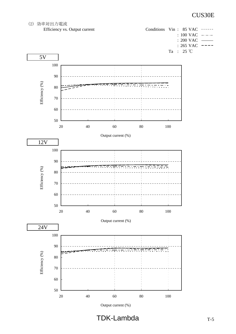

Output current (%)

 $TDK-Lambda$  TDK-Lambda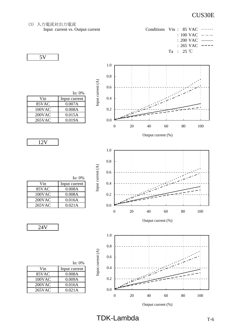(3) 入力電流対出力電流 Input current vs. Output current Conditions Vin : 85 VAC : 100 VAC : 200 VAC : 265 VAC Ta : 25 ℃ 5V 1.0 0.8 Input current  $(\mathbf{A})$ Input current (A) 0.6 Io: 0% Vin Input current 0.4 85VAC 0.007A 100VAC 0.008A 0.2 200VAC 0.015A 265VAC 0.019A 0.0 0 20 40 60 80 100 Output current (%) 12V 1.0 0.8 Input current (A) Input current (A) 0.6 Io: 0% 0.4 Vin | Input current 85VAC 0.008A 100VAC 0.008A 0.2 200VAC 0.016A 265VAC 0.021A 0.0 0 20 40 60 80 100 Output current (%) 24V 1.0 0.8 Input current (A) Input current (A) 0.6 Io: 0% 0.4 Vin Input current 85VAC 0.008A 0.2 100VAC 0.009A 200VAC 0.016A 265VAC 0.021A 0.0 0 20 40 60 80 100

TDK-Lambda T-6

Output current (%)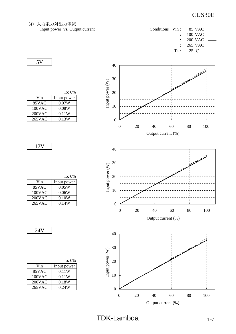(4) 入力電力対出力電流 Input power  $vs.$  Output current

| Conditions Vin: $85 \text{ VAC}$ ---- |                                   |  |
|---------------------------------------|-----------------------------------|--|
|                                       | $100 \text{ VAC}$ --              |  |
|                                       | $\pm 200 \text{ VAC}$ —           |  |
|                                       | $265 \text{ VAC}$ ---             |  |
|                                       | Ta: $25 \text{ }^{\circ}\text{C}$ |  |





|           | Io: 0%      |
|-----------|-------------|
| Vin       | Input power |
| 85VAC     | 0.07W       |
| 100VAC    | 0.08W       |
| $200$ VAC | 0.11W       |
| 265VAC    | 0.13W       |

12V

5V

|           | Io: $0\%$   |
|-----------|-------------|
| Vin       | Input power |
| 85VAC     | 0.05W       |
| 100VAC    | 0.06W       |
| $200$ VAC | 0.10W       |
| 265VAC    | 0.14W       |

|           | Io: $0\%$   |
|-----------|-------------|
| Vin       | Input power |
| 85VAC     | 0.11W       |
| 100VAC    | 0.11W       |
| $200$ VAC | 0.18W       |
| 265VAC    | 0.24W       |

 $TDK\text{-Lambda}$   $T-7$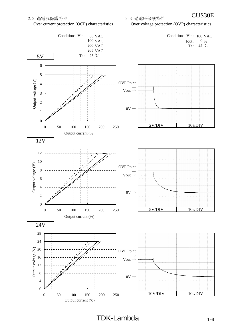Over current protection (OCP) characteristics Over voltage protection (OVP) characteristics

CUS30E 2.2 過電流保護特性 2.3 過電圧保護特性



 $TDK-Lambda$  TDK-Lambda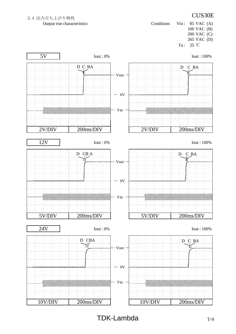# 2.4 出力立ち上がり特性 インファイル インター インター ファイル しょうしょう こうしょう にっぽん こうしょう こうしょう こうしょう こうしょう

Output rise characteristics Conditions Vin : 85 VAC (A) 100 VAC (B) 200 VAC (C) 265 VAC (D) Ta : 25 ℃

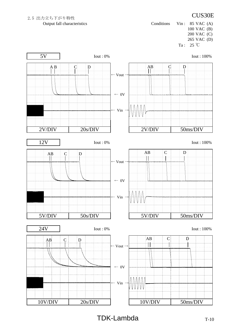# 2.5 出力立ち下がり特性 インファイル しょうしゃ インター・コンピック しょうしょう にっぽん こうしょう にっぽん こうしょう

Output fall characteristics Conditions Vin : 85 VAC (A) 100 VAC (B) 200 VAC (C) 265 VAC (D) Ta : 25 ℃

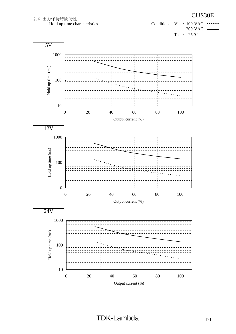

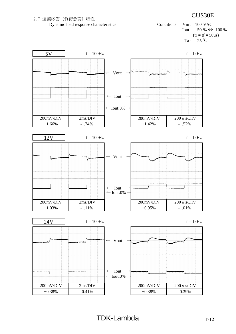



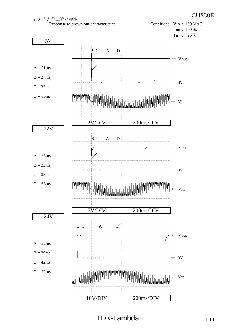



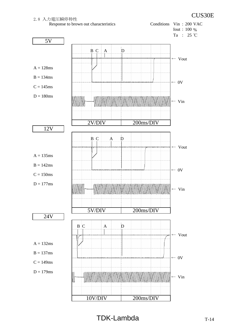2.8 入力電圧瞬停特性<br>
Response to brown out characteristics<br>
Response to brown out characteristics<br>
Conditions Vin : 200 VAC Response to brown out characteristics



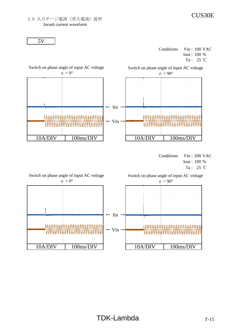

Conditions Vin : 100 VAC Iout : 100 % Ta : 25 ℃



Conditions Vin : 200 VAC Iout : 100 % Ta : 25 ℃

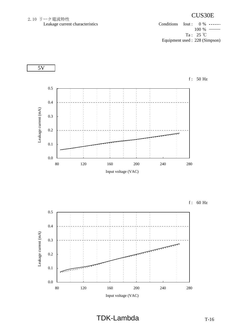## 2.10 リーク電流特性<br>
Leakage current characteristics<br>
Leakage current characteristics<br>
Conditions Iout : 0 % ---Leakage current characteristics Conditions Iout : 0 %

 $\left( -1 + 1 \right)$ 100 % Ta : 25 ℃ Equipment used : 228 (Simpson)

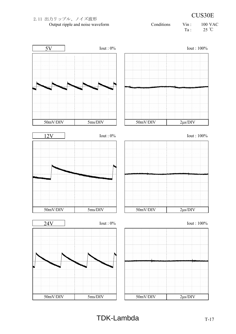## $TDK-Lambda$   $T-17$



# 2.11 出力リップル、ノイズ波形 **2.11** 2.11 出力リップル、ノイズ波形

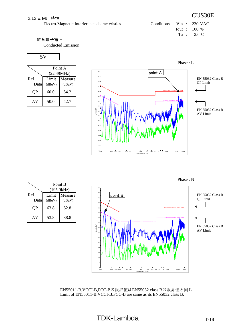### 2.12 E MI 特性

Electro-Magnetic Interference characteristics

| Conditions Vin : 230 VAC |  |                                    |
|--------------------------|--|------------------------------------|
|                          |  | $I_{\text{out}}$ : 100 %           |
|                          |  | $Ta : 25 \text{ }^{\circ}\text{C}$ |

### 雑音端子電圧

Conducted Emission

### 5V

|              | Point A<br>(22.49MHz) |                   |  |  |
|--------------|-----------------------|-------------------|--|--|
| Ref.<br>Data | Limit<br>(dBuV)       | Measure<br>(dBuV) |  |  |
| OΡ           | 60.0                  | 54.2              |  |  |
| AV           | 50.0                  | 42.7              |  |  |







EN55011-B,VCCI-B,FCC-Bの限界値はEN55032 class Bの限界値と同じ Limit of EN55011-B,VCCI-B,FCC-B are same as its EN55032 class B.

## Phase : L

# CUS30E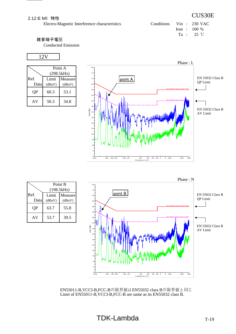Electro-Magnetic Interference characteristics

| Conditions Vin : 230 VAC |  |                                    |
|--------------------------|--|------------------------------------|
|                          |  | $I$ out : 100 %                    |
|                          |  | $Ta : 25 \text{ }^{\circ}\text{C}$ |

CUS30E

### 雑音端子電圧

Conducted Emission

### 12V

|           | Point A<br>(298.5kHz) |         |
|-----------|-----------------------|---------|
| Ref.      | Limit                 | Measure |
| Data      | (dBuV)                | (dBuV)  |
| <b>QP</b> | 60.3                  | 53.1    |
| AV        | 50.3                  | 34.8    |





|              | Point B<br>(198.5kHz) |                   |  |
|--------------|-----------------------|-------------------|--|
| Ref.<br>Data | Limit<br>(dBuV)       | Measure<br>(dBuV) |  |
| QP           | 63.7                  | 55.8              |  |
| AV           | 53.7                  | 39.5              |  |

EN55011-B,VCCI-B,FCC-Bの限界値はEN55032 class Bの限界値と同じ Limit of EN55011-B,VCCI-B,FCC-B are same as its EN55032 class B.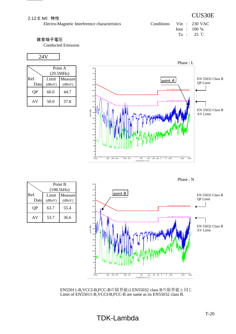### 2.12 E MI 特性

Electro-Magnetic Interference characteristics

| Conditions Vin : $230$ VAC |  |                                    |
|----------------------------|--|------------------------------------|
|                            |  | $\frac{1}{2}$ 100 %                |
|                            |  | $Ta : 25 \text{ }^{\circ}\text{C}$ |

CUS30E

### 雑音端子電圧

Conducted Emission

### 24V

|           | Point A   |         |  |
|-----------|-----------|---------|--|
|           | (29.5MHz) |         |  |
| Ref.      | Limit     | Measure |  |
| Data      | (dBuV)    | (dBuV)  |  |
| <b>OP</b> | 60.0      | 44.7    |  |
| AV        | 50.0      | 37.8    |  |



|              | Point B<br>(198.5kHz) |                   |
|--------------|-----------------------|-------------------|
| Ref.<br>Data | Limit<br>(dBuV)       | Measure<br>(dBuV) |
| QP           | 63.7                  | 55.4              |
| AV           | 53.7                  | 36.6              |



EN55011-B,VCCI-B,FCC-Bの限界値はEN55032 class Bの限界値と同じ Limit of EN55011-B,VCCI-B,FCC-B are same as its EN55032 class B.